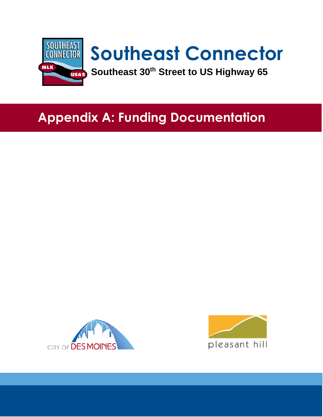

## **Appendix A: Funding Documentation**



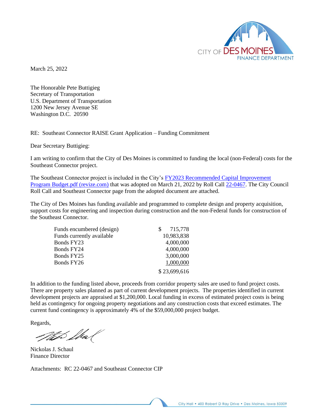

March 25, 2022

The Honorable Pete Buttigieg Secretary of Transportation U.S. Department of Transportation 1200 New Jersey Avenue SE Washington D.C. 20590

RE: Southeast Connector RAISE Grant Application – Funding Commitment

Dear Secretary Buttigieg:

I am writing to confirm that the City of Des Moines is committed to funding the local (non-Federal) costs for the Southeast Connector project.

The Southeast Connector project is included in the City's [FY2023 Recommended Capital Improvement](https://cms2files.revize.com/desmoines/FY2023%20Recommended%20Capital%20Improvement%20Program%20Budget.pdf?pdf=FY2023%20Recommended%20Capital%20Improvement%20Program%20Budget&t=1648048313503&pdf=FY2023%20Recommended%20Capital%20Improvement%20Program%20Budget&t=1648048313503)  [Program Budget.pdf \(revize.com\)](https://cms2files.revize.com/desmoines/FY2023%20Recommended%20Capital%20Improvement%20Program%20Budget.pdf?pdf=FY2023%20Recommended%20Capital%20Improvement%20Program%20Budget&t=1648048313503&pdf=FY2023%20Recommended%20Capital%20Improvement%20Program%20Budget&t=1648048313503) that was adopted on March 21, 2022 by Roll Call [22-0467.](https://councildocs.dsm.city/rollcalls/2022/22-0467.pdf) The City Council Roll Call and Southeast Connector page from the adopted document are attached.

The City of Des Moines has funding available and programmed to complete design and property acquisition, support costs for engineering and inspection during construction and the non-Federal funds for construction of the Southeast Connector.

| Funds encumbered (design) | 715,778      |
|---------------------------|--------------|
| Funds currently available | 10,983,838   |
| Bonds FY23                | 4,000,000    |
| Bonds FY24                | 4,000,000    |
| Bonds FY25                | 3,000,000    |
| Bonds FY26                | 1,000,000    |
|                           | \$23,699,616 |

In addition to the funding listed above, proceeds from corridor property sales are used to fund project costs. There are property sales planned as part of current development projects. The properties identified in current development projects are appraised at \$1,200,000. Local funding in excess of estimated project costs is being held as contingency for ongoing property negotiations and any construction costs that exceed estimates. The current fund contingency is approximately 4% of the \$59,000,000 project budget.

Regards,

Ī

th fhal

Nickolas J. Schaul Finance Director

Attachments: RC 22-0467 and Southeast Connector CIP

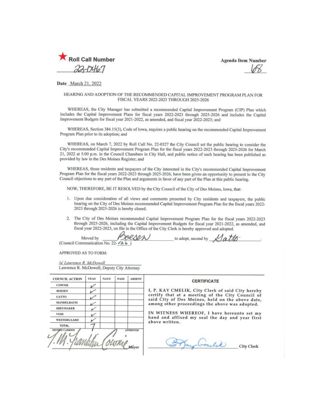

**Agenda Item Number** 

Date March 21, 2022

## HEARING AND ADOPTION OF THE RECOMMENDED CAPITAL IMPROVEMENT PROGRAM PLAN FOR FISCAL YEARS 2022-2023 THROUGH 2025-2026

WHEREAS, the City Manager has submitted a recommended Capital Improvement Program (CIP) Plan which includes the Capital Improvement Plans for fiscal years 2022-2023 through 2025-2026 and includes the Capital Improvement Budgets for fiscal year 2021-2022, as amended, and fiscal year 2022-2023; and

WHEREAS, Section 384.15(3), Code of Iowa, requires a public hearing on the recommended Capital Improvement Program Plan prior to its adoption; and

WHEREAS, on March 7, 2022 by Roll Call No. 22-0327 the City Council set the public hearing to consider the City's recommended Capital Improvement Program Plan for the fiscal years 2022-2023 through 2025-2026 for March 21, 2022 at 5:00 p.m. in the Council Chambers in City Hall, and public notice of such hearing has been published as provided by law in the Des Moines Register; and

WHEREAS, those residents and taxpayers of the City interested in the City's recommended Capital Improvement Program Plan for the fiscal years 2022-2023 through 2025-2026, have been given an opportunity to present to the City Council objections to any part of the Plan and arguments in favor of any part of the Plan at this public hearing.

NOW, THEREFORE, BE IT RESOLVED by the City Council of the City of Des Moines, Iowa, that:

- 1. Upon due consideration of all views and comments presented by City residents and taxpayers, the public hearing on the City of Des Moines recommended Capital Improvement Program Plan for the fiscal years 2022-2023 through 2025-2026 is hereby closed.
- 2. The City of Des Moines recommended Capital Improvement Program Plan for the fiscal years 2022-2023 through 2025-2026, including the Capital Improvement Budgets for fiscal year 2021-2022, as amended, and fiscal year 2022-2023, on file in the Office of the City Clerk is hereby approved and adopted.

DORSEN to adopt, second by  $\triangle A$ Moved by (Council Communication No. 22- /2 6)

APPROVED AS TO FORM:

/s/ Lawrence R. McDowell Lawrence R. McDowell, Deputy City Attorney

| <b>COUNCIL ACTION</b> | <b>YEAS</b> | <b>NAYS</b> | <b>PASS</b> | <b>ABSENT</b>     |
|-----------------------|-------------|-------------|-------------|-------------------|
| <b>COWNIE</b>         |             |             |             |                   |
| <b>BOESEN</b>         |             |             |             |                   |
| <b>GATTO</b>          |             |             |             |                   |
| <b>MANDELBAUM</b>     |             |             |             |                   |
| <b>SHEUMAKER</b>      |             |             |             |                   |
| <b>VOSS</b>           |             |             |             |                   |
| <b>WESTERGAARD</b>    |             |             |             |                   |
| TOTAL                 |             |             |             |                   |
| <b>MOTHIN CARRIED</b> |             |             | OUTRA       | APPROVED<br>Mayor |

## **CERTIFICATE**

I, P. KAY CMELIK, City Clerk of said City hereby certify that at a meeting of the City Council of<br>said City of Des Moines, held on the above date, among other proceedings the above was adopted.

IN WITNESS WHEREOF, I have hereunto set my hand and affixed my seal the day and year first above written.

Bay Condice

**City Clerk**